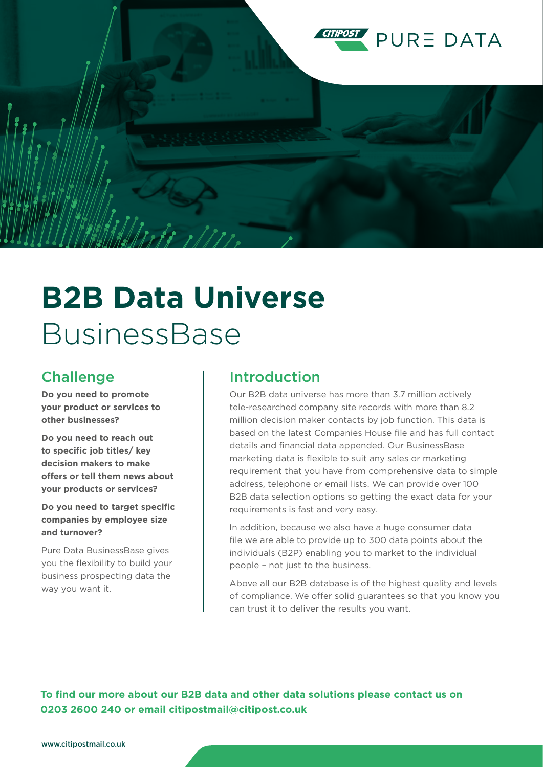

# **B2B Data Universe** BusinessBase

#### **Challenge**

**Do you need to promote your product or services to other businesses?**

**Do you need to reach out to specific job titles/ key decision makers to make offers or tell them news about your products or services?**

**Do you need to target specific companies by employee size and turnover?** 

Pure Data BusinessBase gives you the flexibility to build your business prospecting data the way you want it.

#### Introduction

Our B2B data universe has more than 3.7 million actively tele-researched company site records with more than 8.2 million decision maker contacts by job function. This data is based on the latest Companies House file and has full contact details and financial data appended. Our BusinessBase marketing data is flexible to suit any sales or marketing requirement that you have from comprehensive data to simple address, telephone or email lists. We can provide over 100 B2B data selection options so getting the exact data for your requirements is fast and very easy.

In addition, because we also have a huge consumer data file we are able to provide up to 300 data points about the individuals (B2P) enabling you to market to the individual people – not just to the business.

Above all our B2B database is of the highest quality and levels of compliance. We offer solid guarantees so that you know you can trust it to deliver the results you want.

**To find our more about our B2B data and other data solutions please contact us on 0203 2600 240 or email citipostmail@citipost.co.uk**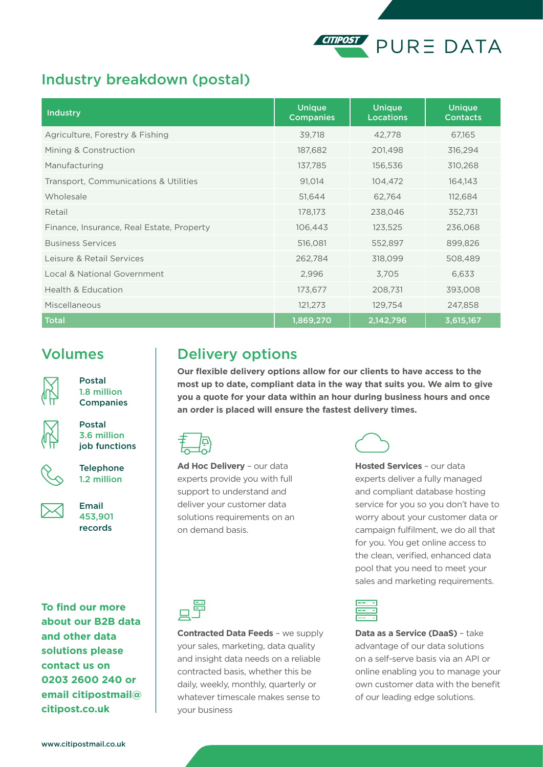#### **CITIPOST PURE DATA**

#### Industry breakdown (postal)

| <b>Industry</b>                           | <b>Unique</b><br><b>Companies</b> | <b>Unique</b><br><b>Locations</b> | <b>Unique</b><br><b>Contacts</b> |
|-------------------------------------------|-----------------------------------|-----------------------------------|----------------------------------|
| Agriculture, Forestry & Fishing           | 39,718                            | 42,778                            | 67,165                           |
| Mining & Construction                     | 187,682                           | 201,498                           | 316,294                          |
| Manufacturing                             | 137,785                           | 156,536                           | 310,268                          |
| Transport, Communications & Utilities     | 91,014                            | 104,472                           | 164,143                          |
| Wholesale                                 | 51,644                            | 62,764                            | 112,684                          |
| Retail                                    | 178,173                           | 238,046                           | 352,731                          |
| Finance, Insurance, Real Estate, Property | 106,443                           | 123,525                           | 236,068                          |
| <b>Business Services</b>                  | 516,081                           | 552,897                           | 899,826                          |
| Leisure & Retail Services                 | 262,784                           | 318,099                           | 508,489                          |
| Local & National Government               | 2,996                             | 3,705                             | 6,633                            |
| <b>Health &amp; Education</b>             | 173,677                           | 208,731                           | 393,008                          |
| Miscellaneous                             | 121,273                           | 129,754                           | 247,858                          |
| <b>Total</b>                              | 1,869,270                         | 2,142,796                         | 3,615,167                        |

#### Volumes



Postal 1.8 million **Companies** 



Postal 3.6 million



job functions

**Telephone** 1.2 million

Email 453,901 records

**To find our more about our B2B data and other data solutions please contact us on 0203 2600 240 or email citipostmail@ citipost.co.uk**

### Delivery options

**Our flexible delivery options allow for our clients to have access to the most up to date, compliant data in the way that suits you. We aim to give you a quote for your data within an hour during business hours and once an order is placed will ensure the fastest delivery times.**



**Ad Hoc Delivery** – our data experts provide you with full support to understand and deliver your customer data solutions requirements on an on demand basis.

**Hosted Services** – our data experts deliver a fully managed and compliant database hosting service for you so you don't have to worry about your customer data or campaign fulfilment, we do all that for you. You get online access to the clean, verified, enhanced data pool that you need to meet your sales and marketing requirements.



**Contracted Data Feeds** – we supply your sales, marketing, data quality and insight data needs on a reliable contracted basis, whether this be daily, weekly, monthly, quarterly or whatever timescale makes sense to your business



**Data as a Service (DaaS)** – take advantage of our data solutions on a self-serve basis via an API or online enabling you to manage your own customer data with the benefit of our leading edge solutions.